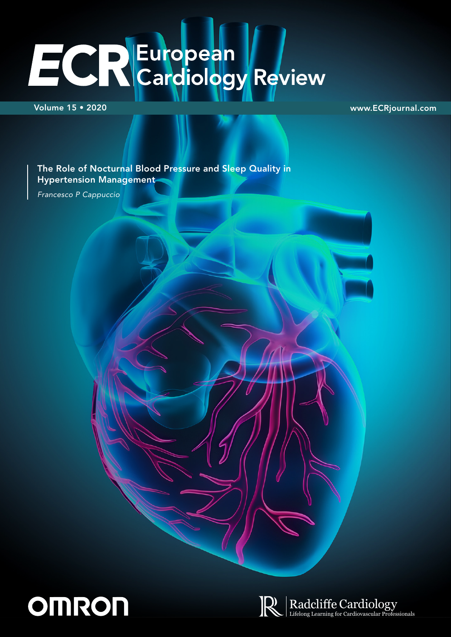# ECREuropean /

Volume 15 • 2020 www.ECRjournal.com

The Role of Nocturnal Blood Pressure and Sleep Quality in Hypertension Management

*Francesco P Cappuccio*



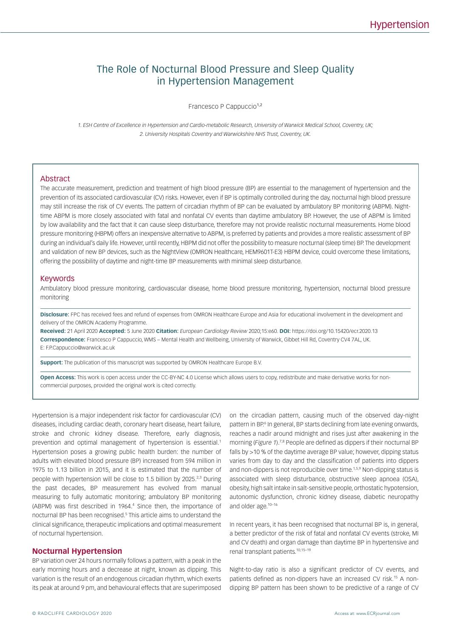# The Role of Nocturnal Blood Pressure and Sleep Quality in Hypertension Management

Francesco P Cappuccio<sup>1,2</sup>

*1. ESH Centre of Excellence in Hypertension and Cardio-metabolic Research, University of Warwick Medical School, Coventry, UK; 2. University Hospitals Coventry and Warwickshire NHS Trust, Coventry, UK.*

#### Abstract

The accurate measurement, prediction and treatment of high blood pressure (BP) are essential to the management of hypertension and the prevention of its associated cardiovascular (CV) risks. However, even if BP is optimally controlled during the day, nocturnal high blood pressure may still increase the risk of CV events. The pattern of circadian rhythm of BP can be evaluated by ambulatory BP monitoring (ABPM). Nighttime ABPM is more closely associated with fatal and nonfatal CV events than daytime ambulatory BP. However, the use of ABPM is limited by low availability and the fact that it can cause sleep disturbance, therefore may not provide realistic nocturnal measurements. Home blood pressure monitoring (HBPM) offers an inexpensive alternative to ABPM, is preferred by patients and provides a more realistic assessment of BP during an individual's daily life. However, until recently, HBPM did not offer the possibility to measure nocturnal (sleep time) BP. The development and validation of new BP devices, such as the NightView (OMRON Healthcare, HEM9601T-E3) HBPM device, could overcome these limitations, offering the possibility of daytime and night-time BP measurements with minimal sleep disturbance.

#### Keywords

Ambulatory blood pressure monitoring, cardiovascular disease, home blood pressure monitoring, hypertension, nocturnal blood pressure monitoring

**Disclosure:** FPC has received fees and refund of expenses from OMRON Healthcare Europe and Asia for educational involvement in the development and delivery of the OMRON Academy Programme.

**Received:** 21 April 2020 **Accepted:** 5 June 2020 **Citation:** *European Cardiology Review* 2020;15:e60. **DOI:** https://doi.org/10.15420/ecr.2020.13 **Correspondence:** Francesco P Cappuccio, WMS – Mental Health and Wellbeing, University of Warwick, Gibbet Hill Rd, Coventry CV4 7AL, UK. E: [F.P.Cappuccio@warwick.ac.uk](mailto:F.P.Cappuccio@warwick.ac.uk)

**Support:** The publication of this manuscript was supported by OMRON Healthcare Europe B.V.

**Open Access:** This work is open access under the [CC-BY-NC 4.0 License](https://creativecommons.org/licenses/by-nc/4.0/legalcode) which allows users to copy, redistribute and make derivative works for noncommercial purposes, provided the original work is cited correctly.

Hypertension is a major independent risk factor for cardiovascular (CV) diseases, including cardiac death, coronary heart disease, heart failure, stroke and chronic kidney disease. Therefore, early diagnosis, prevention and optimal management of hypertension is essential.<sup>1</sup> Hypertension poses a growing public health burden: the number of adults with elevated blood pressure (BP) increased from 594 million in 1975 to 1.13 billion in 2015, and it is estimated that the number of people with hypertension will be close to 1.5 billion by 2025.<sup>2,3</sup> During the past decades, BP measurement has evolved from manual measuring to fully automatic monitoring; ambulatory BP monitoring (ABPM) was first described in 1964.<sup>4</sup> Since then, the importance of nocturnal BP has been recognised.<sup>5</sup> This article aims to understand the clinical significance, therapeutic implications and optimal measurement of nocturnal hypertension.

#### **Nocturnal Hypertension**

BP variation over 24 hours normally follows a pattern, with a peak in the early morning hours and a decrease at night, known as dipping. This variation is the result of an endogenous circadian rhythm, which exerts its peak at around 9 pm, and behavioural effects that are superimposed on the circadian pattern, causing much of the observed day-night pattern in BP.<sup>6</sup> In general, BP starts declining from late evening onwards, reaches a nadir around midnight and rises just after awakening in the morning (*Figure 1*).7,8 People are defined as dippers if their nocturnal BP falls by >10 % of the daytime average BP value; however, dipping status varies from day to day and the classification of patients into dippers and non-dippers is not reproducible over time.<sup>1,5,9</sup> Non-dipping status is associated with sleep disturbance, obstructive sleep apnoea (OSA), obesity, high salt intake in salt-sensitive people, orthostatic hypotension, autonomic dysfunction, chronic kidney disease, diabetic neuropathy and older age.10–16

In recent years, it has been recognised that nocturnal BP is, in general, a better predictor of the risk of fatal and nonfatal CV events (stroke, MI and CV death) and organ damage than daytime BP in hypertensive and renal transplant patients.10,15–19

Night-to-day ratio is also a significant predictor of CV events, and patients defined as non-dippers have an increased CV risk.<sup>15</sup> A nondipping BP pattern has been shown to be predictive of a range of CV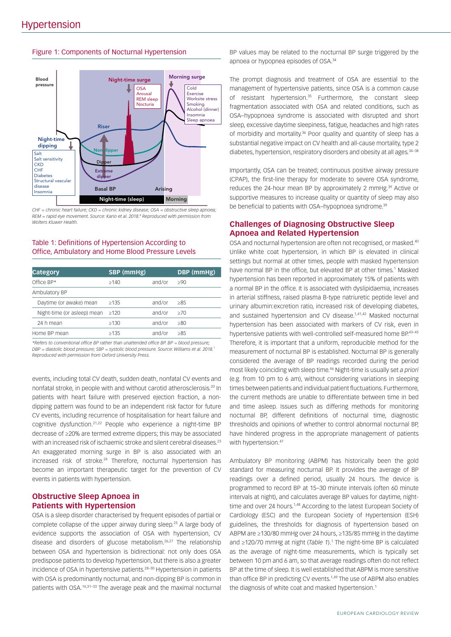#### Figure 1: Components of Nocturnal Hypertension



*CHF = chronic heart failure; CKD = chronic kidney disease; OSA = obstructive sleep apnoea; REM = rapid eye movement. Source: Kario et al. 2018.*<sup>8</sup>  *Reproduced with permission from Wolters Kluwer Health.*

# Table 1: Definitions of Hypertension According to Office, Ambulatory and Home Blood Pressure Levels

| <b>Category</b>             | SBP (mmHg) |        | DBP (mmHg) |
|-----------------------------|------------|--------|------------|
| Office BP*                  | >140       | and/or | >90        |
| Ambulatory BP               |            |        |            |
| Daytime (or awake) mean     | >135       | and/or | >85        |
| Night-time (or asleep) mean | >120       | and/or | >70        |
| 24 h mean                   | >130       | and/or | >80        |
| Home BP mean                | >135       | and/or | >85        |

*\*Refers to conventional office BP rather than unattended office BP. BP = blood pressure; DBP = diastolic blood pressure; SBP = systolic blood pressure. Source: Williams et al. 2018.*<sup>1</sup> *Reproduced with permission from Oxford University Press.*

events, including total CV death, sudden death, nonfatal CV events and nonfatal stroke, in people with and without carotid atherosclerosis.20 In patients with heart failure with preserved ejection fraction, a nondipping pattern was found to be an independent risk factor for future CV events, including recurrence of hospitalisation for heart failure and cognitive dysfunction.21,22 People who experience a night-time BP decrease of ≥20% are termed extreme dippers; this may be associated with an increased risk of ischaemic stroke and silent cerebral diseases.<sup>23</sup> An exaggerated morning surge in BP is also associated with an increased risk of stroke.<sup>24</sup> Therefore, nocturnal hypertension has become an important therapeutic target for the prevention of CV events in patients with hypertension.

# **Obstructive Sleep Apnoea in Patients with Hypertension**

OSA is a sleep disorder characterised by frequent episodes of partial or complete collapse of the upper airway during sleep.<sup>25</sup> A large body of evidence supports the association of OSA with hypertension, CV disease and disorders of glucose metabolism.26,27 The relationship between OSA and hypertension is bidirectional: not only does OSA predispose patients to develop hypertension, but there is also a greater incidence of OSA in hypertensive patients.28–30 Hypertension in patients with OSA is predominantly nocturnal, and non-dipping BP is common in patients with OSA.14,31–33 The average peak and the maximal nocturnal

BP values may be related to the nocturnal BP surge triggered by the apnoea or hypopnea episodes of OSA.34

The prompt diagnosis and treatment of OSA are essential to the management of hypertensive patients, since OSA is a common cause of resistant hypertension.<sup>35</sup> Furthermore, the constant sleep fragmentation associated with OSA and related conditions, such as OSA–hypopnoea syndrome is associated with disrupted and short sleep, excessive daytime sleepiness, fatigue, headaches and high rates of morbidity and mortality.36 Poor quality and quantity of sleep has a substantial negative impact on CV health and all-cause mortality, type 2 diabetes, hypertension, respiratory disorders and obesity at all ages.<sup>34-38</sup>

Importantly, OSA can be treated; continuous positive airway pressure (CPAP), the first-line therapy for moderate to severe OSA syndrome, reduces the 24-hour mean BP by approximately 2 mmHg.<sup>39</sup> Active or supportive measures to increase quality or quantity of sleep may also be beneficial to patients with OSA-hypopnoea syndrome.<sup>39</sup>

# **Challenges of Diagnosing Obstructive Sleep Apnoea and Related Hypertension**

OSA and nocturnal hypertension are often not recognised, or masked.40 Unlike white coat hypertension, in which BP is elevated in clinical settings but normal at other times, people with masked hypertension have normal BP in the office, but elevated BP at other times.<sup>1</sup> Masked hypertension has been reported in approximately 15% of patients with a normal BP in the office. It is associated with dyslipidaemia, increases in arterial stiffness, raised plasma B-type natriuretic peptide level and urinary albumin:excretion ratio, increased risk of developing diabetes, and sustained hypertension and CV disease.<sup>1,41,42</sup> Masked nocturnal hypertension has been associated with markers of CV risk, even in hypertensive patients with well-controlled self-measured home BP.<sup>43-45</sup> Therefore, it is important that a uniform, reproducible method for the measurement of nocturnal BP is established. Nocturnal BP is generally considered the average of BP readings recorded during the period most likely coinciding with sleep time.46 Night-time is usually set *a priori*  (e.g. from 10 pm to 6 am), without considering variations in sleeping times between patients and individual patient fluctuations. Furthermore, the current methods are unable to differentiate between time in bed and time asleep. Issues such as differing methods for monitoring nocturnal BP, different definitions of nocturnal time, diagnostic thresholds and opinions of whether to control abnormal nocturnal BP, have hindered progress in the appropriate management of patients with hypertension.<sup>47</sup>

Ambulatory BP monitoring (ABPM) has historically been the gold standard for measuring nocturnal BP. It provides the average of BP readings over a defined period, usually 24 hours. The device is programmed to record BP at 15–30 minute intervals (often 60 minute intervals at night), and calculates average BP values for daytime, nighttime and over 24 hours.<sup>1,48</sup> According to the latest European Society of Cardiology (ESC) and the European Society of Hypertension (ESH) guidelines, the thresholds for diagnosis of hypertension based on ABPM are ≥130/80 mmHg over 24 hours, ≥135/85 mmHg in the daytime and ≥120/70 mmHg at night (*Table 1*).1 The night-time BP is calculated as the average of night-time measurements, which is typically set between 10 pm and 6 am, so that average readings often do not reflect BP at the time of sleep. It is well established that ABPM is more sensitive than office BP in predicting CV events.<sup>1,49</sup> The use of ABPM also enables the diagnosis of white coat and masked hypertension.<sup>1</sup>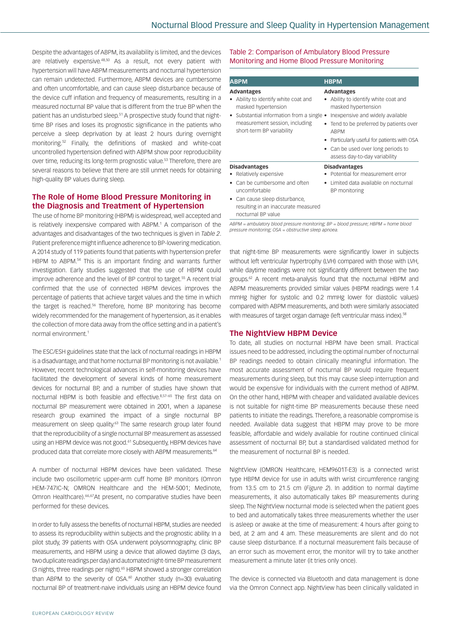Despite the advantages of ABPM, its availability is limited, and the devices are relatively expensive.<sup>48,50</sup> As a result, not every patient with hypertension will have ABPM measurements and nocturnal hypertension can remain undetected. Furthermore, ABPM devices are cumbersome and often uncomfortable, and can cause sleep disturbance because of the device cuff inflation and frequency of measurements, resulting in a measured nocturnal BP value that is different from the true BP when the patient has an undisturbed sleep.<sup>51</sup> A prospective study found that nighttime BP rises and loses its prognostic significance in the patients who perceive a sleep deprivation by at least 2 hours during overnight monitoring.52 Finally, the definitions of masked and white-coat uncontrolled hypertension defined with ABPM show poor reproducibility over time, reducing its long-term prognostic value.<sup>53</sup> Therefore, there are several reasons to believe that there are still unmet needs for obtaining high-quality BP values during sleep.

# **The Role of Home Blood Pressure Monitoring in the Diagnosis and Treatment of Hypertension**

The use of home BP monitoring (HBPM) is widespread, well accepted and is relatively inexpensive compared with ABPM.<sup>1</sup> A comparison of the advantages and disadvantages of the two techniques is given in *Table 2*. Patient preference might influence adherence to BP-lowering medication. A 2014 study of 119 patients found that patients with hypertension prefer HBPM to ABPM.<sup>54</sup> This is an important finding and warrants further investigation. Early studies suggested that the use of HBPM could improve adherence and the level of BP control to target.<sup>55</sup> A recent trial confirmed that the use of connected HBPM devices improves the percentage of patients that achieve target values and the time in which the target is reached.<sup>56</sup> Therefore, home BP monitoring has become widely recommended for the management of hypertension, as it enables the collection of more data away from the office setting and in a patient's normal environment.1

The ESC/ESH guidelines state that the lack of nocturnal readings in HBPM is a disadvantage, and that home nocturnal BP monitoring is not available.<sup>1</sup> However, recent technological advances in self-monitoring devices have facilitated the development of several kinds of home measurement devices for nocturnal BP, and a number of studies have shown that nocturnal HBPM is both feasible and effective.<sup>8,57-65</sup> The first data on nocturnal BP measurement were obtained in 2001, when a Japanese research group examined the impact of a single nocturnal BP measurement on sleep quality.<sup>63</sup> The same research group later found that the reproducibility of a single nocturnal BP measurement as assessed using an HBPM device was not good.<sup>61</sup> Subsequently, HBPM devices have produced data that correlate more closely with ABPM measurements.<sup>64</sup>

A number of nocturnal HBPM devices have been validated. These include two oscillometric upper-arm cuff home BP monitors (Omron HEM-747IC-N; OMRON Healthcare and the HEM-5001; Medinote, Omron Healthcare).66,67At present, no comparative studies have been performed for these devices.

In order to fully assess the benefits of nocturnal HBPM, studies are needed to assess its reproducibility within subjects and the prognostic ability. In a pilot study, 39 patients with OSA underwent polysomnography, clinic BP measurements, and HBPM using a device that allowed daytime (3 days, two duplicate readings per day) and automated night-time BP measurement (3 nights, three readings per night).65 HBPM showed a stronger correlation than ABPM to the severity of OSA.<sup>60</sup> Another study ( $n=30$ ) evaluating nocturnal BP of treatment-naive individuals using an HBPM device found

#### Table 2: Comparison of Ambulatory Blood Pressure Monitoring and Home Blood Pressure Monitoring

| <b>ABPM</b>                                                                                                                                                                                 | <b>HBPM</b>                                                                                                                                                                                                                                                                                        |
|---------------------------------------------------------------------------------------------------------------------------------------------------------------------------------------------|----------------------------------------------------------------------------------------------------------------------------------------------------------------------------------------------------------------------------------------------------------------------------------------------------|
| <b>Advantages</b><br>Ability to identify white coat and<br>masked hypertension<br>Substantial information from a single •<br>measurement session, including<br>short-term BP variability    | <b>Advantages</b><br>Ability to identify white coat and<br>masked hypertension<br>Inexpensive and widely available<br>• Tend to be preferred by patients over<br><b>ABPM</b><br>• Particularly useful for patients with OSA<br>• Can be used over long periods to<br>assess day-to-day variability |
| <b>Disadvantages</b><br>Relatively expensive<br>Can be cumbersome and often<br>uncomfortable<br>• Can cause sleep disturbance,<br>resulting in an inaccurate measured<br>nocturnal BP value | <b>Disadvantages</b><br>Potential for measurement error<br>Limited data available on nocturnal<br>BP monitoring                                                                                                                                                                                    |

*ABPM = ambulatory blood pressure monitoring; BP = blood pressure; HBPM = home blood pressure monitoring; OSA = obstructive sleep apnoea.*

that night-time BP measurements were significantly lower in subjects without left ventricular hypertrophy (LVH) compared with those with LVH, while daytime readings were not significantly different between the two groups.62 A recent meta-analysis found that the nocturnal HBPM and ABPM measurements provided similar values (HBPM readings were 1.4 mmHg higher for systolic and 0.2 mmHg lower for diastolic values) compared with ABPM measurements, and both were similarly associated with measures of target organ damage (left ventricular mass index).<sup>58</sup>

# **The NightView HBPM Device**

To date, all studies on nocturnal HBPM have been small. Practical issues need to be addressed, including the optimal number of nocturnal BP readings needed to obtain clinically meaningful information. The most accurate assessment of nocturnal BP would require frequent measurements during sleep, but this may cause sleep interruption and would be expensive for individuals with the current method of ABPM. On the other hand, HBPM with cheaper and validated available devices is not suitable for night-time BP measurements because these need patients to initiate the readings. Therefore, a reasonable compromise is needed. Available data suggest that HBPM may prove to be more feasible, affordable and widely available for routine continued clinical assessment of nocturnal BP, but a standardised validated method for the measurement of nocturnal BP is needed.

NightView (OMRON Healthcare, HEM9601T-E3) is a connected wrist type HBPM device for use in adults with wrist circumference ranging from 13.5 cm to 21.5 cm (*Figure 2*). In addition to normal daytime measurements, it also automatically takes BP measurements during sleep. The NightView nocturnal mode is selected when the patient goes to bed and automatically takes three measurements whether the user is asleep or awake at the time of measurement: 4 hours after going to bed, at 2 am and 4 am. These measurements are silent and do not cause sleep disturbance. If a nocturnal measurement fails because of an error such as movement error, the monitor will try to take another measurement a minute later (it tries only once).

The device is connected via Bluetooth and data management is done via the Omron Connect app. NightView has been clinically validated in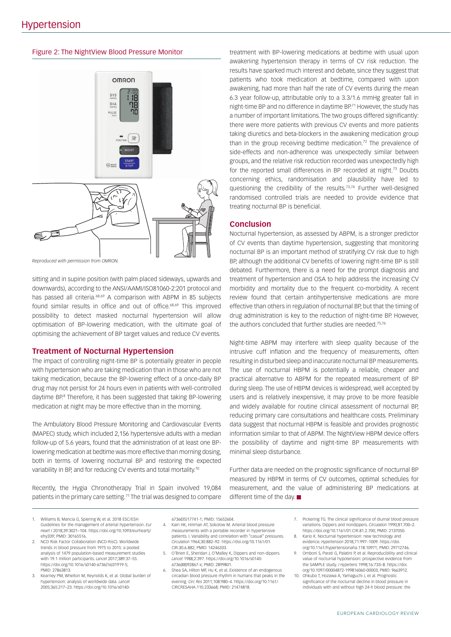#### Figure 2: The NightView Blood Pressure Monitor



*Reproduced with permission from OMRON.*

sitting and in supine position (with palm placed sideways, upwards and downwards), according to the ANSI/AAMI/ISO81060-2:201 protocol and has passed all criteria.<sup>68,69</sup> A comparison with ABPM in 85 subjects found similar results in office and out of office.<sup>68,69</sup> This improved possibility to detect masked nocturnal hypertension will allow optimisation of BP-lowering medication, with the ultimate goal of optimising the achievement of BP target values and reduce CV events.

#### **Treatment of Nocturnal Hypertension**

The impact of controlling night-time BP is potentially greater in people with hypertension who are taking medication than in those who are not taking medication, because the BP-lowering effect of a once-daily BP drug may not persist for 24 hours even in patients with well-controlled daytime BP.<sup>8</sup> Therefore, it has been suggested that taking BP-lowering medication at night may be more effective than in the morning.

The Ambulatory Blood Pressure Monitoring and Cardiovascular Events (MAPEC) study, which included 2,156 hypertensive adults with a median follow-up of 5.6 years, found that the administration of at least one BPlowering medication at bedtime was more effective than morning dosing, both in terms of lowering nocturnal BP and restoring the expected variability in BP, and for reducing CV events and total mortality.<sup>70</sup>

Recently, the Hygia Chronotherapy Trial in Spain involved 19,084 patients in the primary care setting.71 The trial was designed to compare treatment with BP-lowering medications at bedtime with usual upon awakening hypertension therapy in terms of CV risk reduction. The results have sparked much interest and debate, since they suggest that patients who took medication at bedtime, compared with upon awakening, had more than half the rate of CV events during the mean 6.3 year follow-up, attributable only to a 3.3/1.6 mmHg greater fall in night-time BP and no difference in daytime BP.71 However, the study has a number of important limitations. The two groups differed significantly: there were more patients with previous CV events and more patients taking diuretics and beta-blockers in the awakening medication group than in the group receiving bedtime medication.<sup>72</sup> The prevalence of side-effects and non-adherence was unexpectedly similar between groups, and the relative risk reduction recorded was unexpectedly high for the reported small differences in BP recorded at night.<sup>73</sup> Doubts concerning ethics, randomisation and plausibility have led to questioning the credibility of the results.<sup>73,74</sup> Further well-designed randomised controlled trials are needed to provide evidence that treating nocturnal BP is beneficial.

#### **Conclusion**

Nocturnal hypertension, as assessed by ABPM, is a stronger predictor of CV events than daytime hypertension, suggesting that monitoring nocturnal BP is an important method of stratifying CV risk due to high BP, although the additional CV benefits of lowering night-time BP is still debated. Furthermore, there is a need for the prompt diagnosis and treatment of hypertension and OSA to help address the increasing CV morbidity and mortality due to the frequent co-morbidity. A recent review found that certain antihypertensive medications are more effective than others in regulation of nocturnal BP, but that the timing of drug administration is key to the reduction of night-time BP. However, the authors concluded that further studies are needed.<sup>75,76</sup>

Night-time ABPM may interfere with sleep quality because of the intrusive cuff inflation and the frequency of measurements, often resulting in disturbed sleep and inaccurate nocturnal BP measurements. The use of nocturnal HBPM is potentially a reliable, cheaper and practical alternative to ABPM for the repeated measurement of BP during sleep. The use of HBPM devices is widespread, well accepted by users and is relatively inexpensive, it may prove to be more feasible and widely available for routine clinical assessment of nocturnal BP, reducing primary care consultations and healthcare costs. Preliminary data suggest that nocturnal HBPM is feasible and provides prognostic information similar to that of ABPM. The NightView HBPM device offers the possibility of daytime and night-time BP measurements with minimal sleep disturbance.

Further data are needed on the prognostic significance of nocturnal BP measured by HBPM in terms of CV outcomes, optimal schedules for measurement, and the value of administering BP medications at different time of the day.

- 1. Williams B, Mancia G, Spiering W, et al. 2018 ESC/ESH Guidelines for the management of arterial hypertension. *Eur Heart J* 2018;39:3021–104. [https://doi.org/10.1093/eurheartj/](https://doi.org/10.1093/eurheartj/ehy339) [ehy339](https://doi.org/10.1093/eurheartj/ehy339); PMID: 30165516.
- 2. NCD Risk Factor Collaboration (NCD-RisC). Worldwide trends in blood pressure from 1975 to 2015: a pooled analysis of 1479 population-based measurement studies with 19.1 million participants. *Lancet* 2017;389:37–55. [https://doi.org/10.1016/s0140-6736\(16\)31919-5;](https://doi.org/10.1016/s0140-6736(16)31919-5) PMID: 27863813.
- 3. Kearney PM, Whelton M, Reynolds K, et al. Global burden of hypertension: analysis of worldwide data. *Lancet*  2005;365:217–23. [https://doi.org/10.1016/s0140-](https://doi.org/10.1016/s0140-6736(05)17741-1)

[6736\(05\)17741-1;](https://doi.org/10.1016/s0140-6736(05)17741-1) PMID: 15652604.

- 4. Kain HK, Hinman AT, Sokolow M. Arterial blood pressure measurements with a portable recorder in hypertensive patients. I. Variability and correlation with "casual" pressures. *Circulation* 1964;30:882–92. [https://doi.org/10.1161/01.](https://doi.org/10.1161/01.CIR.30.6.882) [CIR.30.6.882;](https://doi.org/10.1161/01.CIR.30.6.882) PMID: 14246333.
- 5. O'Brien E, Sheridan J, O'Malley K, Dippers and non-dippers. *Lancet* 1988;2:397. [https://doi.org/10.1016/s0140-](https://doi.org/10.1016/s0140-6736(88)92867-x) [6736\(88\)92867-x](https://doi.org/10.1016/s0140-6736(88)92867-x); PMID: 2899801.
- Shea SA, Hilton MF, Hu K, et al. Existence of an endogenous circadian blood pressure rhythm in humans that peaks in the evening. *Circ Res* 2011;108:980–4. [https://doi.org/10.1161/](https://doi.org/10.1161/CIRCRESAHA.110.233668) [CIRCRESAHA.110.233668](https://doi.org/10.1161/CIRCRESAHA.110.233668); PMID: 21474818.
- 7. Pickering TG. The clinical significance of diurnal blood pressure variations. Dippers and nondippers. *Circulation* 1990;81:700–2. <https://doi.org/10.1161/01.CIR.81.2.700>; PMID: 2137050.
- 8. Kario K. Nocturnal hypertension: new technology and evidence. *Hypertension* 2018;71:997–1009. [https://doi.](https://doi.org/10.1161/hypertensionaha.118.10971) [org/10.1161/hypertensionaha.118.10971;](https://doi.org/10.1161/hypertensionaha.118.10971) PMID: 29712746.
- 9. Omboni S, Parati G, Palatini P, et al. Reproducibility and clinical value of nocturnal hypotension: prospective evidence from the SAMPLE study. *J Hypertens* 1998;16:733–8. [https://doi.](https://doi.org/10.1097/00004872-199816060-00003) [org/10.1097/00004872-199816060-00003;](https://doi.org/10.1097/00004872-199816060-00003) PMID: 9663912.
- 10. Ohkubo T, Hozawa A, Yamaguchi J, et al. Prognostic significance of the nocturnal decline in blood pressure in individuals with and without high 24-h blood pressure: the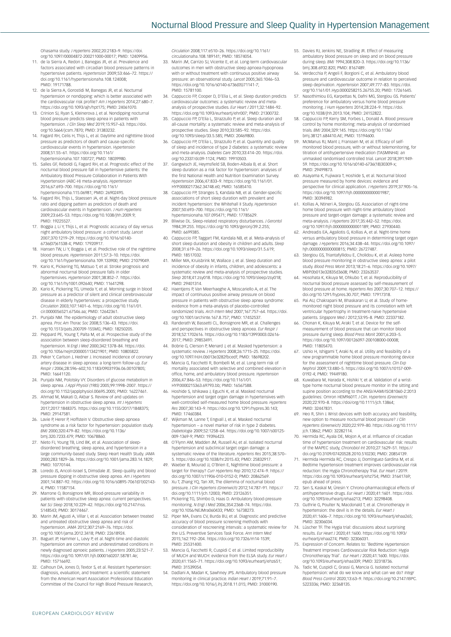Ohasama study. *J Hypertens* 2002;20:2183–9. [https://doi.](https://doi.org/10.1097/00004872-200211000-00017) [org/10.1097/00004872-200211000-00017;](https://doi.org/10.1097/00004872-200211000-00017) PMID: 12409956.

- 11. de la Sierra A, Redon J, Banegas JR, et al. Prevalence and factors associated with circadian blood pressure patterns in hypertensive patients. *Hypertension* 2009;53:466–72. [https://](https://doi.org/10.1161/hypertensionaha.108.124008) [doi.org/10.1161/hypertensionaha.108.124008](https://doi.org/10.1161/hypertensionaha.108.124008); PMID: 19171788.
- 12. de la Sierra A, Gorostidi M, Banegas JR, et al. Nocturnal hypertension or nondipping: which is better associated with the cardiovascular risk profile? *Am J Hypertens* 2014;27:680–7.
- <https://doi.org/10.1093/ajh/hpt175>; PMID: 24061070. 13. Crinion SJ, Ryan S, Kleinerova J, et al. Nondipping nocturnal blood pressure predicts sleep apnea in patients with hypertension. *J Clin Sleep Med* 2019;15:957–63. [https://doi.](https://doi.org/10.5664/jcsm.7870) [org/10.5664/jcsm.7870](https://doi.org/10.5664/jcsm.7870); PMID: 31383232.
- 14. Fagard RH, Celis H, Thijs L, et al. Daytime and nighttime blood pressure as predictors of death and cause-specific cardiovascular events in hypertension. *Hypertension* 2008;51:55–61. [https://doi.org/10.1161/](https://doi.org/10.1161/hypertensionaha.107.100727)
- [hypertensionaha.107.100727;](https://doi.org/10.1161/hypertensionaha.107.100727) PMID: 18039980. 15. Salles GF, Reboldi G, Fagard RH, et al. Prognostic effect of the nocturnal blood pressure fall in hypertensive patients: the Ambulatory Blood Pressure Collaboration in Patients With Hypertension (ABC-H) meta-analysis. *Hypertension*  2016;67:693–700. [https://doi.org/10.1161/](https://doi.org/10.1161/hypertensionaha.115.06981) [hypertensionaha.115.06981](https://doi.org/10.1161/hypertensionaha.115.06981); PMID: 26902495.
- 16. Fagard RH, Thijs L, Staessen JA, et al. Night-day blood pressure ratio and dipping pattern as predictors of death and cardiovascular events in hypertension. *J Hum Hypertens*  2009;23:645–53. [https://doi.org/10.1038/jhh.2009.9;](https://doi.org/10.1038/jhh.2009.9) PMID: 19225527.
- 17. Boggia J, Li Y, Thijs L, et al. Prognostic accuracy of day versus night ambulatory blood pressure: a cohort study. *Lancet* 2007;370:1219–29. [https://doi.org/10.1016/s0140-](https://doi.org/10.1016/s0140-6736(07)61538-4) [6736\(07\)61538-4;](https://doi.org/10.1016/s0140-6736(07)61538-4) PMID: 17920917.
- 18. Hansen TW, Li Y, Boggia J, et al. Predictive role of the nighttime blood pressure. *Hypertension* 2011;57:3–10. [https://doi.](https://doi.org/10.1161/hypertensionaha.109.133900)
- [org/10.1161/hypertensionaha.109.133900](https://doi.org/10.1161/hypertensionaha.109.133900); PMID: 21079049. 19. Kario K, Pickering TG, Matsuo T, et al. Stroke prognosis and abnormal nocturnal blood pressure falls in older hypertensives. *Hypertension* 2001;38:852–7. [https://doi.](https://doi.org/10.1161/hy1001.092640) [org/10.1161/hy1001.092640](https://doi.org/10.1161/hy1001.092640); PMID: 11641298.
- 20. Kario K, Pickering TG, Umeda Y, et al. Morning surge in blood pressure as a predictor of silent and clinical cerebrovascular disease in elderly hypertensives: a prospective study. *Circulation* 2003;107:1401–6. [https://doi.org/10.1161/01.](https://doi.org/10.1161/01.cir.0000056521.67546.aa) [cir.0000056521.67546.aa](https://doi.org/10.1161/01.cir.0000056521.67546.aa); PMID: 12642361.
- 21. Punjabi NM. The epidemiology of adult obstructive sleep apnea. *Proc Am Thorac Soc* 2008;5:136–43. [https://doi.](https://doi.org/10.1513/pats.200709-155MG) [org/10.1513/pats.200709-155MG;](https://doi.org/10.1513/pats.200709-155MG) PMID: 18250205.
- 22. Peppard PE, Young T, Palta M, et al. Prospective study of the association between sleep-disordered breathing and hypertension. *N Engl J Med* 2000;342:1378–84. [https://doi.](https://doi.org/10.1056/nejm200005113421901) [org/10.1056/nejm200005113421901;](https://doi.org/10.1056/nejm200005113421901) PMID: 10805822.
- 23. Peker Y, Carlson J, Hedner J. Increased incidence of coronary artery disease in sleep apnoea: a long-term follow-up. *Eur Respir J* 2006;28:596–602;10.1183/09031936.06.00107805; PMID: 16641120.
- Punjabi NM, Polotsky VY. Disorders of glucose metabolism in sleep apnea. *J Appl Physiol (1985)* 2005;99:1998–2007. [https://](https://doi.org/10.1152/japplphysiol.00695.2005)
- [doi.org/10.1152/japplphysiol.00695.2005;](https://doi.org/10.1152/japplphysiol.00695.2005) PMID: 16227461. 25. Ahmad M, Makati D, Akbar S. Review of and updates on hypertension in obstructive sleep apnea. *Int J Hypertens* 2017;2017:1848375. [https://doi.org/10.1155/2017/1848375;](https://doi.org/10.1155/2017/1848375) PMID: 29147581.
- Lavie P, Herer P, Hoffstein V. Obstructive sleep apnoea syndrome as a risk factor for hypertension: population study. *BMJ* 2000;320:479–82. [https://doi.org/10.1136/](https://doi.org/10.1136/bmj.320.7233.479) [bmj.320.7233.479;](https://doi.org/10.1136/bmj.320.7233.479) PMID: 10678860.
- 27. Nieto FJ, Young TB, Lind BK, et al. Association of sleepdisordered breathing, sleep apnea, and hypertension in a large community-based study. Sleep Heart Health Study. *JAMA*  2000;283:1829–36.<https://doi.org/10.1001/jama.283.14.1829>; PMID: 10770144.
- Loredo JS, Ancoli-Israel S, Dimsdale JE. Sleep quality and blood pressure dipping in obstructive sleep apnea. *Am J Hypertens* 2001;14:887–92. [https://doi.org/10.1016/s0895-7061\(01\)02143-](https://doi.org/10.1016/s0895-7061(01)02143-4) [4;](https://doi.org/10.1016/s0895-7061(01)02143-4) PMID: 11587154.
- 29. Marrone O, Bonsignore MR, Blood-pressure variability in patients with obstructive sleep apnea: current perspectives. *Nat Sci Sleep* 2018;10:229–42. [https://doi.org/10.2147/nss.](https://doi.org/10.2147/nss.S148543) [S148543](https://doi.org/10.2147/nss.S148543); PMID: 30174467.
- 30. Marin JM, Agusti A, Villar I, et al. Association between treated and untreated obstructive sleep apnea and risk of hypertension. *JAMA* 2012;307:2169–76. [https://doi.](https://doi.org/10.1001/jama.2012.3418) [org/10.1001/jama.2012.3418](https://doi.org/10.1001/jama.2012.3418); PMID: 22618924.
- Baguet JP, Hammer L, Levy P, et al. Night-time and diastolic hypertension are common and underestimated conditions in newly diagnosed apnoeic patients. *J Hypertens* 2005;23:521–7. [https://doi.org/10.1097/01.hjh.0000160207.58781.4e;](https://doi.org/10.1097/01.hjh.0000160207.58781.4e) PMID: 15716692.
- 32. Calhoun DA, Jones D, Textor S, et al. Resistant hypertension: diagnosis, evaluation, and treatment: a scientific statement from the American Heart Association Professional Education Committee of the Council for High Blood Pressure Research,

*Circulation* 2008;117:e510–26. [https://doi.org/10.1161/](https://doi.org/10.1161/circulationaha.108.189141) [circulationaha.108.189141](https://doi.org/10.1161/circulationaha.108.189141); PMID: 18574054.

- 33. Marin JM, Carrizo SJ, Vicente E, et al. Long-term cardiovascular outcomes in men with obstructive sleep apnoea-hypopnoea with or without treatment with continuous positive airway pressure: an observational study. *Lancet* 2005;365:1046–53. [https://doi.org/10.1016/s0140-6736\(05\)71141-7;](https://doi.org/10.1016/s0140-6736(05)71141-7) PMID: 15781100.
- 34. Cappuccio FP, Cooper D, D'Elia L, et al. Sleep duration predicts cardiovascular outcomes: a systematic review and metaanalysis of prospective studies. *Eur Heart J* 2011;32:1484–92. <https://doi.org/10.1093/eurheartj/ehr007>; PMID: 21300732.
- 35. Cappuccio FP, D'Elia L, Strazzullo P, et al. Sleep duration and all-cause mortality: a systematic review and meta-analysis of prospective studies. *Sleep* 2010;33:585–92. [https://doi.](https://doi.org/10.1093/sleep/33.5.585) [org/10.1093/sleep/33.5.585](https://doi.org/10.1093/sleep/33.5.585); PMID: 20469800.
- 36. Cappuccio FP, D'Elia L, Strazzullo P, et al. Quantity and quality of sleep and incidence of type 2 diabetes: a systematic review and meta-analysis. *Diabetes Care* 2010;33:414–20. [https://doi.](https://doi.org/10.2337/dc09-1124) [org/10.2337/dc09-1124](https://doi.org/10.2337/dc09-1124); PMID: 19910503. 37. Gangwisch JE, Heymsfield SB, Boden-Albala B, et al. Short
- sleep duration as a risk factor for hypertension: analyses of the first National Health and Nutrition Examination Survey. *Hypertension* 2006;47:833–9. [https://doi.org/10.1161/01.](https://doi.org/10.1161/01.HYP.0000217362.34748.e0) [HYP.0000217362.34748.e0;](https://doi.org/10.1161/01.HYP.0000217362.34748.e0) PMID: 16585410.
- 38. Cappuccio FP, Stranges S, Kandala NB, et al. Gender-specific associations of short sleep duration with prevalent and incident hypertension: the Whitehall II Study. *Hypertension*  2007;50:693–700. [https://doi.org/10.1161/](https://doi.org/10.1161/hypertensionaha.107.095471) [hypertensionaha.107.095471;](https://doi.org/10.1161/hypertensionaha.107.095471) PMID: 17785629.
- 39. Bliwise DL. Sleep-related respiratory disturbances. *J Gerontol*  1984;39:255. [https://doi.org/10.1093/geronj/39.2.255;](https://doi.org/10.1093/geronj/39.2.255) PMID: 6699385.
- 40. Cappuccio FP, Taggart FM, Kandala NB, et al. Meta-analysis of short sleep duration and obesity in children and adults. *Sleep*  2008;31:619–26. <https://doi.org/10.1093/sleep/31.5.619>; PMID: 18517032.
- 41. Miller MA, Kruisbrink M, Wallace J, et al. Sleep duration and incidence of obesity in infants, children, and adolescents: a systematic review and meta-analysis of prospective studies. *Sleep* 2018;41:zsy018.<https://doi.org/10.1093/sleep/zsy018>; PMID: 29401314.
- 42. Haentjens P, Van Meerhaeghe A, Moscariello A, et al. The impact of continuous positive airway pressure on blood pressure in patients with obstructive sleep apnea syndrome: evidence from a meta-analysis of placebo-controlled randomized trials. *Arch Intern Med* 2007;167:757–64. [https://doi.](https://doi.org/10.1001/archinte.167.8.757) [org/10.1001/archinte.167.8.757](https://doi.org/10.1001/archinte.167.8.757); PMID: 17452537.
- 43. Randerath W, Bassetti CL, Bonsignore MR, et al. Challenges and perspectives in obstructive sleep apnoea. *Eur Respir J* 2018;52:1702616. [https://doi.org/10.1183/13993003.02616-](https://doi.org/10.1183/13993003.02616-2017) [2017](https://doi.org/10.1183/13993003.02616-2017); PMID: 29853491.
- Bobrie G, Clerson P, Menard J, et al. Masked hypertension: a systematic review. *J Hypertens* 2008;26:1715–25. [https://doi.](https://doi.org/10.1097/HJH.0b013e3282fbcedf) [org/10.1097/HJH.0b013e3282fbcedf](https://doi.org/10.1097/HJH.0b013e3282fbcedf); PMID: 18698202.
- 45. Mancia G, Facchetti R, Bombelli M, et al. Long-term risk of mortality associated with selective and combined elevation in office, home, and ambulatory blood pressure. *Hypertension*  2006;47:846–53. [https://doi.org/10.1161/01.](https://doi.org/10.1161/01.HYP.0000215363.69793.bb) [HYP.0000215363.69793.bb](https://doi.org/10.1161/01.HYP.0000215363.69793.bb); PMID: 16567588.
- 46. Hoshide S, Ishikawa J, Eguchi K, et al. Masked nocturnal hypertension and target organ damage in hypertensives with well-controlled self-measured home blood pressure. *Hypertens Res* 2007;30:143–9. [https://doi.org/10.1291/hypres.30.143;](https://doi.org/10.1291/hypres.30.143) PMID: 17460384.
- Wijkman M, Lanne T, Engvall J, et al. Masked nocturnal hypertension – a novel marker of risk in type 2 diabetes *Diabetologia* 2009;52:1258–64. [https://doi.org/10.1007/s00125-](https://doi.org/10.1007/s00125-009-1369-9) [009-1369-9;](https://doi.org/10.1007/s00125-009-1369-9) PMID: 19396423.
- 48. O'Flynn AM, Madden JM, Russell AJ, et al. Isolated nocturna hypertension and subclinical target organ damage: a systematic review of the literature. *Hypertens Res* 2015;38:570– 5. [https://doi.org/10.1038/hr.2015.43;](https://doi.org/10.1038/hr.2015.43) PMID: 25832917.
- Waeber B, Mourad JJ, O'Brien E, Nighttime blood pressure: a target for therapy? *Curr Hypertens Rep* 2010;12:474–9. [https://](https://doi.org/10.1007/s11906-010-0152-0) [doi.org/10.1007/s11906-010-0152-0;](https://doi.org/10.1007/s11906-010-0152-0) PMID: 20862569.
- 50. Xu T, Zhang YQ, Tan XR, The dilemma of nocturnal blood pressure. *J Clin Hypertens (Greenwich)* 2012;14:787–91. [https://](https://doi.org/10.1111/jch.12003) [doi.org/10.1111/jch.12003](https://doi.org/10.1111/jch.12003); PMID: 23126351. 51. Pickering TG, Shimbo D, Haas D. Ambulatory blood-pressure
- monitoring. *N Engl J Med* 2006;354:2368–74. [https://doi.](https://doi.org/10.1056/NEJMra060433) [org/10.1056/NEJMra060433](https://doi.org/10.1056/NEJMra060433); PMID: 16738273.
- 52. Piper MA, Evans CV, Burda BU, et al. Diagnostic and predictive accuracy of blood pressure screening methods with consideration of rescreening intervals: a systematic review for the U.S. Preventive Services Task Force. *Ann Intern Med*  2015;162:192–204. [https://doi.org/10.7326/m14-1539;](https://doi.org/10.7326/m14-1539) PMID: 25531400.
- 53. Mancia G, Facchetti R, Cuspidi C et al. Limited reproducibility of MUCH and WUCH: evidence from the ELSA study. *Eur Heart J*  2020;41:1565–71.<https://doi.org/10.1093/eurheartj/ehz651>; PMID: 31539054.
- Dadlani A, Madan K, Sawhney JPS. Ambulatory blood pressure monitoring in clinical practice. *Indian Heart J* 2019;71:91–7. <https://doi.org/10.1016/j.ihj.2018.11.015>; PMID: 31000190.
- 55. Davies RJ, Jenkins NE, Stradling JR. Effect of measuring ambulatory blood pressure on sleep and on blood pressure during sleep. *BMJ* 1994;308:820–3. [https://doi.org/10.1136/](https://doi.org/10.1136/bmj.308.6932.820) [bmj.308.6932.820](https://doi.org/10.1136/bmj.308.6932.820); PMID: 8167489.
- 56. Verdecchia P, Angeli F, Borgioni C, et al. Ambulatory blood pressure and cardiovascular outcome in relation to perceived sleep deprivation. *Hypertension* 2007;49:777–83. [https://doi.](https://doi.org/10.1161/01.Hyp.0000258215.26755.20)
- [org/10.1161/01.Hyp.0000258215.26755.20](https://doi.org/10.1161/01.Hyp.0000258215.26755.20); PMID: 17261645. 57. Nasothimiou EG, Karpettas N, Dafni MG, Stergiou GS. Patients' preference for ambulatory versus home blood pressure monitoring. *J Hum Hypertens* 2014;28:224–9. [https://doi.](https://doi.org/10.1038/jhh.2013.104) [org/10.1038/jhh.2013.104;](https://doi.org/10.1038/jhh.2013.104) PMID: 24152822.
- 58. Cappuccio FP, Kerry SM, Forbes L, Donald A. Blood pressure control by home monitoring: meta-analysis of randomised trials. *BMJ* 2004;329:145. [https://doi.org/10.1136/](https://doi.org/10.1136/bmj.38121.684410.AE) [bmj.38121.684410.AE;](https://doi.org/10.1136/bmj.38121.684410.AE) PMID: 15194600.
- 59. McManus RJ, Mant J, Franssen M, et al. Efficacy of self-monitored blood pressure, with or without telemonitoring, for titration of antihypertensive medication (TASMINH4): an unmasked randomised controlled trial. *Lancet* 2018;391:949- 59. [https://doi.org/10.1016/s0140-6736\(18\)30309-x](https://doi.org/10.1016/s0140-6736(18)30309-x); PMID: 29499873.
- 60. Asayama K, Fujiwara T, Hoshide S, et al. Nocturnal blood pressure measured by home devices: evidence and perspective for clinical application. *J Hypertens* 2019;37:905–16. <https://doi.org/10.1097/hjh.0000000000001987>; PMID: 30394982.
- Kollias A, Ntineri A, Stergiou GS. Association of night-time home blood pressure with night-time ambulatory blood pressure and target-organ damage: a systematic review and meta-analysis. *J Hypertens* 2017;35:442–52. [https://doi.](https://doi.org/10.1097/hjh.0000000000001189) [org/10.1097/hjh.0000000000001189](https://doi.org/10.1097/hjh.0000000000001189); PMID: 27930440.
- 62. Andreadis EA, Agaliotis G, Kollias A, et al. Night-time home versus ambulatory blood pressure in determining target organ damage. *J Hypertens* 2016;34:438–44. [https://doi.org/10.1097/](https://doi.org/10.1097/hjh.0000000000000815) [hjh.0000000000000815](https://doi.org/10.1097/hjh.0000000000000815); PMID: 26727487.
- 63. Stergiou GS, Triantafyllidou E, Cholidou K, et al. Asleep home blood pressure monitoring in obstructive sleep apnea: a pilot study. *Blood Press Monit* 2013;18:21–6. [https://doi.org/10.1097/](https://doi.org/10.1097/MBP.0b013e32835d3608) [MBP.0b013e32835d3608](https://doi.org/10.1097/MBP.0b013e32835d3608); PMID: 23263537.
- Hosohata K, Kikuya M, Ohkubo T, et al. Reproducibility of nocturnal blood pressure assessed by self-measurement of blood pressure at home. *Hypertens Res* 2007;30:707–12. [https://](https://doi.org/10.1291/hypres.30.707) [doi.org/10.1291/hypres.30.707](https://doi.org/10.1291/hypres.30.707); PMID: 17917318.
- 65. Pai AU, Chakrapani M, Bhaskaran U, et al. Study of homemonitored night blood pressure and its correlation with left ventricular hypertrophy in treatment-naive hypertensive patients. *Singapore Med J* 2012;53:95–8. PMID: 22337182.
- 66. Chonan K, Kikuya M, Araki T, et al. Device for the selfmeasurement of blood pressure that can monitor blood pressure during sleep. *Blood Press Monit* 2001;6:203–5. [https://doi.org/10.1097/00126097-200108000-00008;](https://doi.org/10.1097/00126097-200108000-00008) PMID: 11805470.
- Ushio H, Ishigami T, Araki N, et al. Utility and feasibility of a new programmable home blood pressure monitoring device for the assessment of nighttime blood pressure. *Clin Exp Nephrol* 2009;13:480–5. [https://doi.org/10.1007/s10157-009-](https://doi.org/10.1007/s10157-009-0192-4) [0192-4](https://doi.org/10.1007/s10157-009-0192-4); PMID: 19449180.
- 68. Kuwabara M, Harada K, Hishiki Y, et al. Validation of a wrist‐ type home nocturnal blood pressure monitor in the sitting and supine position according to the ANSI/AAMI/ISO81060‐2:2013 guidelines: Omron HEM9601T. *J Clin. Hypertens (Greenwich)* 2020;22:970–8. [https://doi/org/10.1111/jch.13864;](https://doi/org/10.1111/jch.13864) PMID: 32447831.
- 69. Heo R, Shin J. Wrist devices with both accuracy and feasibility, new option to measure nocturnal blood pressure? *J Clin Hypertens (Greenwich)* 2020;22:979–80. [https://doi.org/10.1111/](https://doi.org/10.1111/jch.13862) [jch.13862;](https://doi.org/10.1111/jch.13862) PMID: 32282114.
- Hermida RC, Ayala DE, Mojon A, et al. Influence of circadian time of hypertension treatment on cardiovascular risk: results of the MAPEC study, *Chronobiol Int* 2010;27:1629–51. [https://](https://doi.org/10.3109/07420528.2010.510230) [doi.org/10.3109/07420528.2010.510230](https://doi.org/10.3109/07420528.2010.510230); PMID: 20854139.
- 71. Hermida Hermida RC, Crespo JJ, Domínguez-Sardina M, et al. Bedtime hypertension treatment improves cardiovascular risk reduction: the Hygia Chronotherapy Trial. *Eur Heart J* 2019. [https://doi.org/10.1093/eurheartj/ehz754;](https://doi.org/10.1093/eurheartj/ehz754) PMID: 31641769; epub ahead of press.
- Sen S, Kaskal M, Üresin Y. Chrono-pharmacological effects of antihypertensive drugs. *Eur Heart J* 2020;41:1601. [https://doi.](https://doi.org/10.1093/eurheartj/ehaa213) [org/10.1093/eurheartj/ehaa213;](https://doi.org/10.1093/eurheartj/ehaa213) PMID: 32298408.
- Guthrie G, Poulter N, Macdonald T, et al. Chronotherapy in hypertension: the devil is in the details. *Eur Heart J* 2020;41:1606–7. [https://doi.org/10.1093/eurheartj/ehaa265;](https://doi.org/10.1093/eurheartj/ehaa265) PMID: 32306034.
- 74. Lüscher TF. The Hygia trial: discussions about surprising results. *Eur Heart J* 2020;41:1600. [https://doi.org/10.1093/](https://doi.org/10.1093/eurheartj/ehaa274) [eurheartj/ehaa274;](https://doi.org/10.1093/eurheartj/ehaa274) PMID: 32306031.
- 75. Expression of Concern. Relates to: 'Bedtime Hypertension Treatment Improves Cardiovascular Risk Reduction: Hygia Chronotherapy Trial'. *Eur Heart J* 2020;41:1600. https://doi.
- org/10.1093/eurheartj/ehaa339; PMID: 32318736. 76. Tadic M, Cuspidi C, Grassi G, Mancia G. Isolated nocturnal hypertension: what do we know and what can we do? Integ *Blood Press Control* 2020;13:63–9. [https://doi.org/10.2147/IBPC.](https://doi.org/10.2147/IBPC.S223336) [S223336](https://doi.org/10.2147/IBPC.S223336); PMID: 32368135.